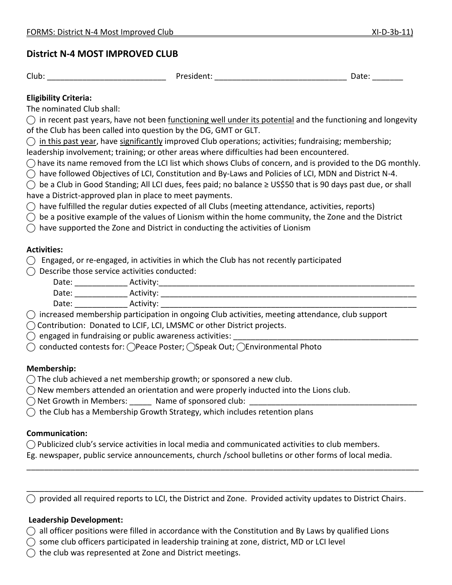## **District N-4 MOST IMPROVED CLUB**

Club: \_\_\_\_\_\_\_\_\_\_\_\_\_\_\_\_\_\_\_\_\_\_\_\_\_\_\_ President: \_\_\_\_\_\_\_\_\_\_\_\_\_\_\_\_\_\_\_\_\_\_\_\_\_\_\_\_\_\_ Date: \_\_\_\_\_\_\_

## **Eligibility Criteria:**

The nominated Club shall:

 $\bigcirc$  in recent past years, have not been functioning well under its potential and the functioning and longevity of the Club has been called into question by the DG, GMT or GLT.

 $\bigcirc$  in this past year, have significantly improved Club operations; activities; fundraising; membership;

leadership involvement; training; or other areas where difficulties had been encountered.

 $\bigcap$  have its name removed from the LCI list which shows Clubs of concern, and is provided to the DG monthly.

 $\bigcirc$  have followed Objectives of LCI, Constitution and By-Laws and Policies of LCI, MDN and District N-4.

⃝ be a Club in Good Standing; All LCI dues, fees paid; no balance ≥ US\$50 that is 90 days past due, or shall have a District-approved plan in place to meet payments.

 $\bigcirc$  have fulfilled the regular duties expected of all Clubs (meeting attendance, activities, reports)

 $\bigcirc$  be a positive example of the values of Lionism within the home community, the Zone and the District

 $\bigcap$  have supported the Zone and District in conducting the activities of Lionism

### **Activities:**

**⃝** Engaged, or re-engaged, in activities in which the Club has not recently participated

⃝ Describe those service activities conducted:

| Date:  | Activity:            |        |  |  |
|--------|----------------------|--------|--|--|
| Date:  | Activity:            |        |  |  |
| Date:  | Activity:            |        |  |  |
| $\sim$ | $\sim$ $\sim$ $\sim$ | .<br>. |  |  |

⃝ increased membership participation in ongoing Club activities, meeting attendance, club support

⃝ Contribution: Donated to LCIF, LCI, LMSMC or other District projects.

 $\bigcirc$  engaged in fundraising or public awareness activities:

⃝ conducted contests for: ⃝Peace Poster; ⃝Speak Out; ⃝Environmental Photo

### **Membership:**

 $\bigcap$  The club achieved a net membership growth; or sponsored a new club.

 $\bigcirc$  New members attended an orientation and were properly inducted into the Lions club.

 $\bigcirc$  Net Growth in Members:  $\qquad$  Name of sponsored club:

 $\bigcirc$  the Club has a Membership Growth Strategy, which includes retention plans

### **Communication:**

 $\bigcap$  Publicized club's service activities in local media and communicated activities to club members.

Eg. newspaper, public service announcements, church /school bulletins or other forms of local media.

 $\bigcirc$  provided all required reports to LCI, the District and Zone. Provided activity updates to District Chairs.

\_\_\_\_\_\_\_\_\_\_\_\_\_\_\_\_\_\_\_\_\_\_\_\_\_\_\_\_\_\_\_\_\_\_\_\_\_\_\_\_\_\_\_\_\_\_\_\_\_\_\_\_\_\_\_\_\_\_\_\_\_\_\_\_\_\_\_\_\_\_\_\_\_\_\_\_\_\_\_\_\_\_\_\_\_\_\_\_\_

\_\_\_\_\_\_\_\_\_\_\_\_\_\_\_\_\_\_\_\_\_\_\_\_\_\_\_\_\_\_\_\_\_\_\_\_\_\_\_\_\_\_\_\_\_\_\_\_\_\_\_\_\_\_\_\_\_\_\_\_\_\_\_\_\_\_\_\_\_\_\_\_\_\_\_\_\_\_\_\_\_\_\_\_\_\_\_\_\_\_

# **Leadership Development:**

 $\bigcirc$  all officer positions were filled in accordance with the Constitution and By Laws by qualified Lions

- $\bigcirc$  some club officers participated in leadership training at zone, district, MD or LCI level
- $\bigcirc$  the club was represented at Zone and District meetings.